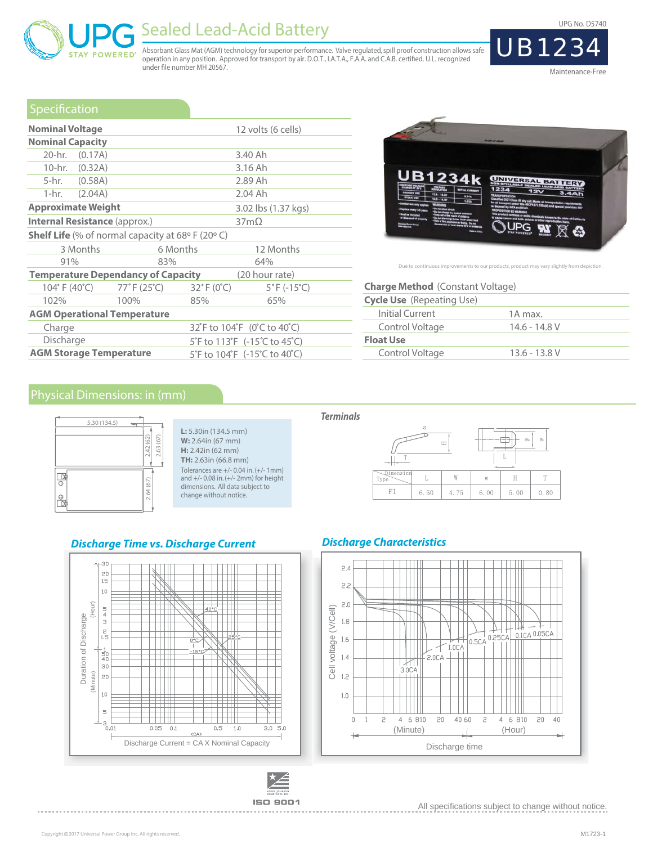UPG No. D5740



Maintenance-Free

### Specification

**POWERED** 

| <b>Nominal Voltage</b>                                                 |                          |                                 | 12 volts (6 cells)               |  |  |  |  |  |  |
|------------------------------------------------------------------------|--------------------------|---------------------------------|----------------------------------|--|--|--|--|--|--|
| <b>Nominal Capacity</b>                                                |                          |                                 |                                  |  |  |  |  |  |  |
| 20-hr. (0.17A)                                                         |                          |                                 | 3.40 Ah                          |  |  |  |  |  |  |
| 10-hr. (0.32A)                                                         |                          |                                 | 3.16 Ah                          |  |  |  |  |  |  |
| 5-hr. (0.58A)                                                          |                          |                                 | 2.89 Ah                          |  |  |  |  |  |  |
| 1-hr. $(2.04A)$                                                        |                          |                                 | 2.04 Ah                          |  |  |  |  |  |  |
| <b>Approximate Weight</b>                                              |                          |                                 | 3.02 lbs (1.37 kgs)              |  |  |  |  |  |  |
| <b>Internal Resistance (approx.)</b>                                   |                          |                                 | $37m\Omega$                      |  |  |  |  |  |  |
| <b>Shelf Life</b> (% of normal capacity at 68 $\circ$ F (20 $\circ$ C) |                          |                                 |                                  |  |  |  |  |  |  |
| 3 Months                                                               | 6 Months                 |                                 | 12 Months                        |  |  |  |  |  |  |
| 91%                                                                    | 83%                      |                                 | 64%                              |  |  |  |  |  |  |
| <b>Temperature Dependancy of Capacity</b>                              |                          |                                 | (20 hour rate)                   |  |  |  |  |  |  |
|                                                                        | 104°F (40°C) 77°F (25°C) | $32^{\circ}$ F (0 $^{\circ}$ C) | $5^{\circ}$ F (-15 $^{\circ}$ C) |  |  |  |  |  |  |
| 102%                                                                   | 100%                     | 85%                             | 65%                              |  |  |  |  |  |  |
| <b>AGM Operational Temperature</b>                                     |                          |                                 |                                  |  |  |  |  |  |  |
| Charge                                                                 |                          | 32°F to 104°F (0°C to 40°C)     |                                  |  |  |  |  |  |  |
| Discharge                                                              |                          | 5°F to 113°F (-15°C to 45°C)    |                                  |  |  |  |  |  |  |
| <b>AGM Storage Temperature</b>                                         |                          |                                 | 5°F to 104°F (-15°C to 40°C)     |  |  |  |  |  |  |

**L:** 5.30in (134.5 mm) **W:** 2.64in (67 mm) **H:** 2.42in (62 mm) **TH:** 2.63in (66.8 mm) Tolerances are +/- 0.04 in. (+/- 1mm) and +/- 0.08 in. (+/- 2mm) for height dimensions. All data subject to change without notice.

under file number MH 20567.

Sealed Lead-Acid Battery



Due to continuous improvements to our products, product may vary slightly from depiction.

| <b>Charge Method</b> (Constant Voltage) |                 |  |  |  |  |  |  |
|-----------------------------------------|-----------------|--|--|--|--|--|--|
| <b>Cycle Use</b> (Repeating Use)        |                 |  |  |  |  |  |  |
| Initial Current                         | 1A max.         |  |  |  |  |  |  |
| Control Voltage                         | $14.6 - 14.8$ V |  |  |  |  |  |  |
| <b>Float Use</b>                        |                 |  |  |  |  |  |  |
| Control Voltage                         | $13.6 - 13.8$ V |  |  |  |  |  |  |



#### **Terminals**

Absorbant Glass Mat (AGM) technology for superior performance. Valve regulated, spill proof construction allows safe<br>operation in any position. Approved for transport by air. D.O.T., I.A.T.A., F.A.A. and C.A.B. certified.



#### **Discharge Characteristics**





**Discharge Time vs. Discharge Current**



. . . . . . . . . . . . . . . .

All specifications subject to change without notice.